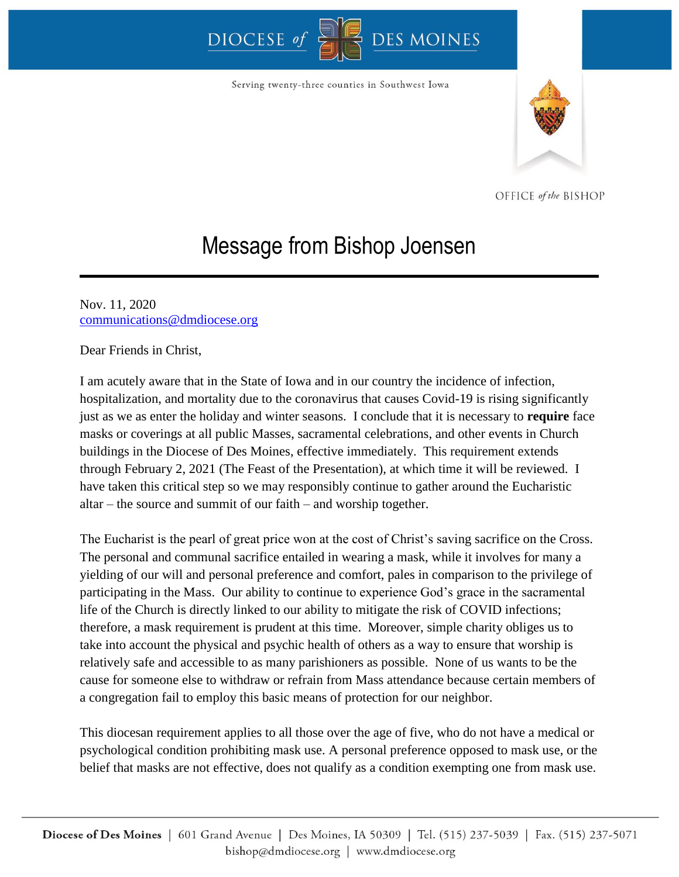## DIOCESE<sup>oj</sup> DES MOINES

Serving twenty-three counties in Southwest Iowa



OFFICE of the BISHOP

## Message from Bishop Joensen

Nov. 11, 2020 [communications@dmdiocese.org](mailto:communications@dmdiocese.org)

Dear Friends in Christ,

I am acutely aware that in the State of Iowa and in our country the incidence of infection, hospitalization, and mortality due to the coronavirus that causes Covid-19 is rising significantly just as we as enter the holiday and winter seasons. I conclude that it is necessary to **require** face masks or coverings at all public Masses, sacramental celebrations, and other events in Church buildings in the Diocese of Des Moines, effective immediately. This requirement extends through February 2, 2021 (The Feast of the Presentation), at which time it will be reviewed. I have taken this critical step so we may responsibly continue to gather around the Eucharistic altar – the source and summit of our faith – and worship together.

The Eucharist is the pearl of great price won at the cost of Christ's saving sacrifice on the Cross. The personal and communal sacrifice entailed in wearing a mask, while it involves for many a yielding of our will and personal preference and comfort, pales in comparison to the privilege of participating in the Mass. Our ability to continue to experience God's grace in the sacramental life of the Church is directly linked to our ability to mitigate the risk of COVID infections; therefore, a mask requirement is prudent at this time. Moreover, simple charity obliges us to take into account the physical and psychic health of others as a way to ensure that worship is relatively safe and accessible to as many parishioners as possible. None of us wants to be the cause for someone else to withdraw or refrain from Mass attendance because certain members of a congregation fail to employ this basic means of protection for our neighbor.

This diocesan requirement applies to all those over the age of five, who do not have a medical or psychological condition prohibiting mask use. A personal preference opposed to mask use, or the belief that masks are not effective, does not qualify as a condition exempting one from mask use.